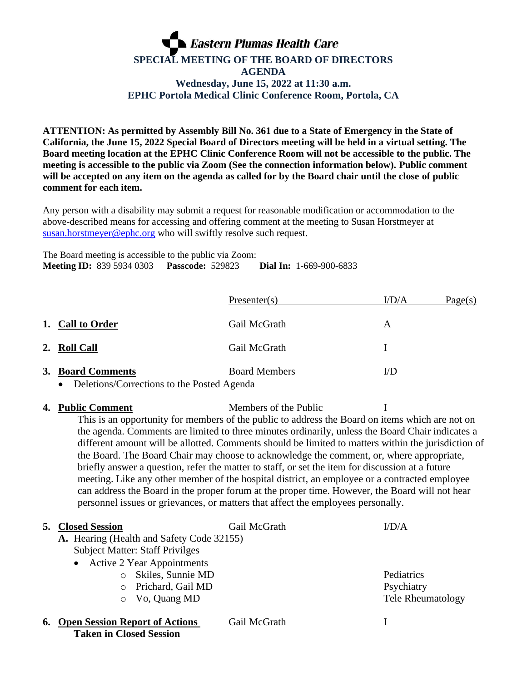## **Eastern Plumas Health Care SPECIAL MEETING OF THE BOARD OF DIRECTORS AGENDA Wednesday, June 15, 2022 at 11:30 a.m. EPHC Portola Medical Clinic Conference Room, Portola, CA**

**ATTENTION: As permitted by Assembly Bill No. 361 due to a State of Emergency in the State of California, the June 15, 2022 Special Board of Directors meeting will be held in a virtual setting. The Board meeting location at the EPHC Clinic Conference Room will not be accessible to the public. The meeting is accessible to the public via Zoom (See the connection information below). Public comment will be accepted on any item on the agenda as called for by the Board chair until the close of public comment for each item.**

Any person with a disability may submit a request for reasonable modification or accommodation to the above-described means for accessing and offering comment at the meeting to Susan Horstmeyer at [susan.horstmeyer@ephc.org](mailto:susan.horstmeyer@ephc.org) who will swiftly resolve such request.

The Board meeting is accessible to the public via Zoom: **Meeting ID:** 839 5934 0303 **Passcode:** 529823 **Dial In:** 1-669-900-6833

|                                            | Presenter(s)         | I/D/A | Page(s) |
|--------------------------------------------|----------------------|-------|---------|
| 1. Call to Order                           | Gail McGrath         | A     |         |
| 2. Roll Call                               | Gail McGrath         |       |         |
| 3. Board Comments                          | <b>Board Members</b> | I/D   |         |
| Deletions/Corrections to the Posted Agenda |                      |       |         |

**4. Public Comment** Members of the Public I This is an opportunity for members of the public to address the Board on items which are not on the agenda. Comments are limited to three minutes ordinarily, unless the Board Chair indicates a different amount will be allotted. Comments should be limited to matters within the jurisdiction of the Board. The Board Chair may choose to acknowledge the comment, or, where appropriate, briefly answer a question, refer the matter to staff, or set the item for discussion at a future meeting. Like any other member of the hospital district, an employee or a contracted employee can address the Board in the proper forum at the proper time. However, the Board will not hear personnel issues or grievances, or matters that affect the employees personally.

| <b>5. Closed Session</b>                                            | Gail McGrath | I/D/A                    |
|---------------------------------------------------------------------|--------------|--------------------------|
| A. Hearing (Health and Safety Code 32155)                           |              |                          |
| <b>Subject Matter: Staff Privilges</b>                              |              |                          |
| • Active 2 Year Appointments                                        |              |                          |
| Skiles, Sunnie MD                                                   |              | Pediatrics               |
| Prichard, Gail MD<br>$\bigcirc$                                     |              | Psychiatry               |
| Vo, Quang MD<br>$\circ$                                             |              | <b>Tele Rheumatology</b> |
| <b>6. Open Session Report of Actions</b><br>Taken in Closed Session | Gail McGrath |                          |